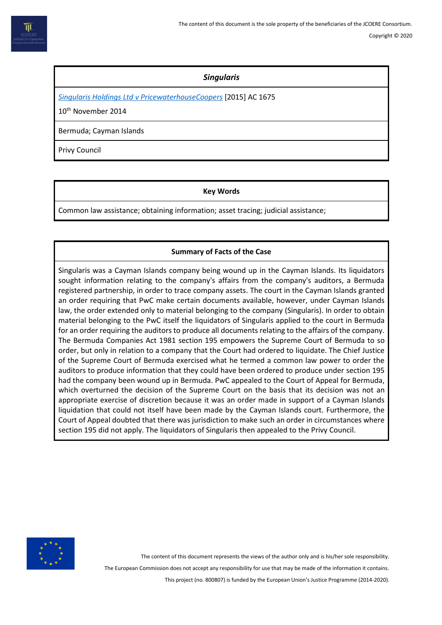# *Singularis*

*[Singularis Holdings Ltd v PricewaterhouseCoopers](https://www.bailii.org/uk/cases/UKPC/2014/36.html)* [2015] AC 1675

10th November 2014

Bermuda; Cayman Islands

Privy Council

**Key Words**

Common law assistance; obtaining information; asset tracing; judicial assistance;

## **Summary of Facts of the Case**

Singularis was a Cayman Islands company being wound up in the Cayman Islands. Its liquidators sought information relating to the company's affairs from the company's auditors, a Bermuda registered partnership, in order to trace company assets. The court in the Cayman Islands granted an order requiring that PwC make certain documents available, however, under Cayman Islands law, the order extended only to material belonging to the company (Singularis). In order to obtain material belonging to the PwC itself the liquidators of Singularis applied to the court in Bermuda for an order requiring the auditors to produce all documents relating to the affairs of the company. The Bermuda Companies Act 1981 section 195 empowers the Supreme Court of Bermuda to so order, but only in relation to a company that the Court had ordered to liquidate. The Chief Justice of the Supreme Court of Bermuda exercised what he termed a common law power to order the auditors to produce information that they could have been ordered to produce under section 195 had the company been wound up in Bermuda. PwC appealed to the Court of Appeal for Bermuda, which overturned the decision of the Supreme Court on the basis that its decision was not an appropriate exercise of discretion because it was an order made in support of a Cayman Islands liquidation that could not itself have been made by the Cayman Islands court. Furthermore, the Court of Appeal doubted that there was jurisdiction to make such an order in circumstances where section 195 did not apply. The liquidators of Singularis then appealed to the Privy Council.



The content of this document represents the views of the author only and is his/her sole responsibility.

The European Commission does not accept any responsibility for use that may be made of the information it contains.

This project (no. 800807) is funded by the European Union's Justice Programme (2014-2020).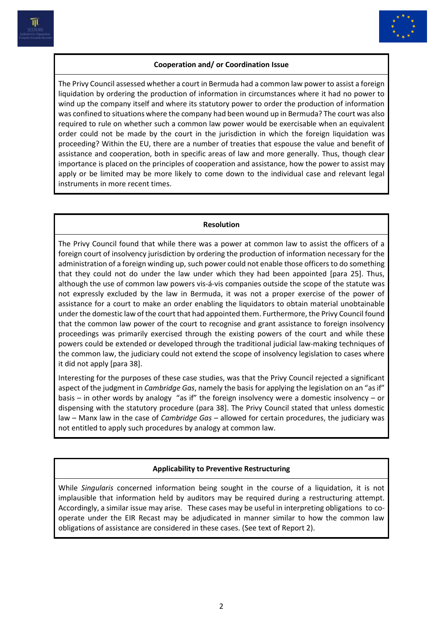



## **Cooperation and/ or Coordination Issue**

The Privy Council assessed whether a court in Bermuda had a common law power to assist a foreign liquidation by ordering the production of information in circumstances where it had no power to wind up the company itself and where its statutory power to order the production of information was confined to situations where the company had been wound up in Bermuda? The court was also required to rule on whether such a common law power would be exercisable when an equivalent order could not be made by the court in the jurisdiction in which the foreign liquidation was proceeding? Within the EU, there are a number of treaties that espouse the value and benefit of assistance and cooperation, both in specific areas of law and more generally. Thus, though clear importance is placed on the principles of cooperation and assistance, how the power to assist may apply or be limited may be more likely to come down to the individual case and relevant legal instruments in more recent times.

#### **Resolution**

The Privy Council found that while there was a power at common law to assist the officers of a foreign court of insolvency jurisdiction by ordering the production of information necessary for the administration of a foreign winding up, such power could not enable those officers to do something that they could not do under the law under which they had been appointed [para 25]. Thus, although the use of common law powers vis-á-vis companies outside the scope of the statute was not expressly excluded by the law in Bermuda, it was not a proper exercise of the power of assistance for a court to make an order enabling the liquidators to obtain material unobtainable under the domestic law of the court that had appointed them. Furthermore, the Privy Council found that the common law power of the court to recognise and grant assistance to foreign insolvency proceedings was primarily exercised through the existing powers of the court and while these powers could be extended or developed through the traditional judicial law-making techniques of the common law, the judiciary could not extend the scope of insolvency legislation to cases where it did not apply [para 38].

Interesting for the purposes of these case studies, was that the Privy Council rejected a significant aspect of the judgment in *Cambridge Gas*, namely the basis for applying the legislation on an "as if" basis – in other words by analogy "as if" the foreign insolvency were a domestic insolvency – or dispensing with the statutory procedure (para 38]. The Privy Council stated that unless domestic law – Manx law in the case of *Cambridge Gas* – allowed for certain procedures, the judiciary was not entitled to apply such procedures by analogy at common law.

## **Applicability to Preventive Restructuring**

While *Singularis* concerned information being sought in the course of a liquidation, it is not implausible that information held by auditors may be required during a restructuring attempt. Accordingly, a similar issue may arise. These cases may be useful in interpreting obligations to cooperate under the EIR Recast may be adjudicated in manner similar to how the common law obligations of assistance are considered in these cases. (See text of Report 2).